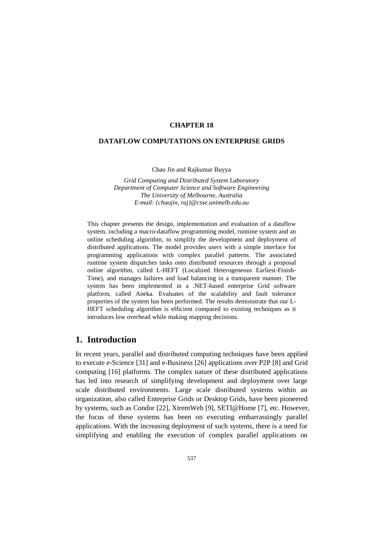### **CHAPTER 18**

#### **DATAFLOW COMPUTATIONS ON ENTERPRISE GRIDS**

Chao Jin and Rajkumar Buyya

*Grid Computing and Distributed System Laboratory Department of Computer Science and Software Engineering The University of Melbourne, Australia E-mail: {chaojin, raj}@csse.unimelb.edu.au*

This chapter presents the design, implementation and evaluation of a dataflow system, including a macro-dataflow programming model, runtime system and an online scheduling algorithm, to simplify the development and deployment of distributed applications. The model provides users with a simple interface for programming applications with complex parallel patterns. The associated runtime system dispatches tasks onto distributed resources through a proposal online algorithm, called L-HEFT (Localized Heterogeneous Earliest-Finish-Time), and manages failures and load balancing in a transparent manner. The system has been implemented in a .NET-based enterprise Grid software platform, called Aneka. Evaluates of the scalability and fault tolerance properties of the system has been performed. The results demonstrate that our L-HEFT scheduling algorithm is efficient compared to existing techniques as it introduces low overhead while making mapping decisions.

### **1. Introduction**

In recent years, parallel and distributed computing techniques have been applied to execute e-Science [\[31\]](#page-27-0) and e-Business [\[26\]](#page-27-1) applications over P2P [\[8\]](#page-26-0) and Grid computing [\[16\]](#page-26-1) platforms. The complex nature of these distributed applications has led into research of simplifying development and deployment over large scale distributed environments. Large scale distributed systems within an organization, also called Enterprise Grids or Desktop Grids, have been pioneered by systems, such as Condor [\[22\]](#page-26-2), XtremWeb [\[9\]](#page-26-3), SETI@Home [\[7\]](#page-25-0), etc. However, the focus of these systems has been on executing embarrassingly parallel applications. With the increasing deployment of such systems, there is a need for simplifying and enabling the execution of complex parallel applications on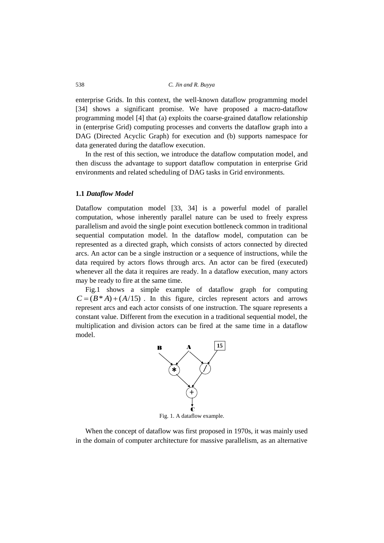enterprise Grids. In this context, the well-known dataflow programming model [\[34\]](#page-27-2) shows a significant promise. We have proposed a macro-dataflow programming model [\[4\]](#page-25-1) that (a) exploits the coarse-grained dataflow relationship in (enterprise Grid) computing processes and converts the dataflow graph into a DAG (Directed Acyclic Graph) for execution and (b) supports namespace for data generated during the dataflow execution.

In the rest of this section, we introduce the dataflow computation model, and then discuss the advantage to support dataflow computation in enterprise Grid environments and related scheduling of DAG tasks in Grid environments.

### **1.1** *Dataflow Model*

Dataflow computation model [\[33,](#page-27-3) [34\]](#page-27-2) is a powerful model of parallel computation, whose inherently parallel nature can be used to freely express parallelism and avoid the single point execution bottleneck common in traditional sequential computation model. In the dataflow model, computation can be represented as a directed graph, which consists of actors connected by directed arcs. An actor can be a single instruction or a sequence of instructions, while the data required by actors flows through arcs. An actor can be fired (executed) whenever all the data it requires are ready. In a dataflow execution, many actors may be ready to fire at the same time.

Fig.1 shows a simple example of dataflow graph for computing  $C = (B^* A) + (A/15)$ . In this figure, circles represent actors and arrows represent arcs and each actor consists of one instruction. The square represents a constant value. Different from the execution in a traditional sequential model, the multiplication and division actors can be fired at the same time in a dataflow model.



Fig. 1. A dataflow example.

When the concept of dataflow was first proposed in 1970s, it was mainly used in the domain of computer architecture for massive parallelism, as an alternative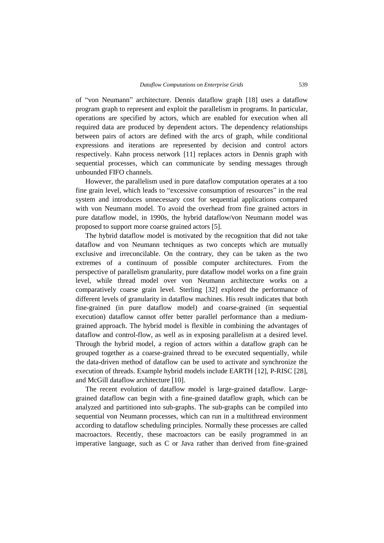of "von Neumann" architecture. Dennis dataflow graph [\[18\]](#page-26-4) uses a dataflow program graph to represent and exploit the parallelism in programs. In particular, operations are specified by actors, which are enabled for execution when all required data are produced by dependent actors. The dependency relationships between pairs of actors are defined with the arcs of graph, while conditional expressions and iterations are represented by decision and control actors respectively. Kahn process network [\[11\]](#page-26-5) replaces actors in Dennis graph with sequential processes, which can communicate by sending messages through unbounded FIFO channels.

However, the parallelism used in pure dataflow computation operates at a too fine grain level, which leads to "excessive consumption of resources" in the real system and introduces unnecessary cost for sequential applications compared with von Neumann model. To avoid the overhead from fine grained actors in pure dataflow model, in 1990s, the hybrid dataflow/von Neumann model was proposed to support more coarse grained actors [\[5\]](#page-25-2).

The hybrid dataflow model is motivated by the recognition that did not take dataflow and von Neumann techniques as two concepts which are mutually exclusive and irreconcilable. On the contrary, they can be taken as the two extremes of a continuum of possible computer architectures. From the perspective of parallelism granularity, pure dataflow model works on a fine grain level, while thread model over von Neumann architecture works on a comparatively coarse grain level. Sterling [\[32\]](#page-27-4) explored the performance of different levels of granularity in dataflow machines. His result indicates that both fine-grained (in pure dataflow model) and coarse-grained (in sequential execution) dataflow cannot offer better parallel performance than a mediumgrained approach. The hybrid model is flexible in combining the advantages of dataflow and control-flow, as well as in exposing parallelism at a desired level. Through the hybrid model, a region of actors within a dataflow graph can be grouped together as a coarse-grained thread to be executed sequentially, while the data-driven method of dataflow can be used to activate and synchronize the execution of threads. Example hybrid models include EARTH [\[12\]](#page-26-6), P-RISC [\[28\]](#page-27-5), and McGill dataflow architecture [\[10\]](#page-26-7).

The recent evolution of dataflow model is large-grained dataflow. Largegrained dataflow can begin with a fine-grained dataflow graph, which can be analyzed and partitioned into sub-graphs. The sub-graphs can be compiled into sequential von Neumann processes, which can run in a multithread environment according to dataflow scheduling principles. Normally these processes are called macroactors. Recently, these macroactors can be easily programmed in an imperative language, such as C or Java rather than derived from fine-grained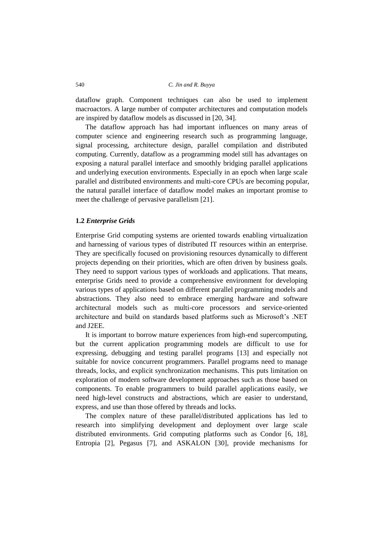dataflow graph. Component techniques can also be used to implement macroactors. A large number of computer architectures and computation models are inspired by dataflow models as discussed in [\[20,](#page-26-8) [34\]](#page-27-2).

The dataflow approach has had important influences on many areas of computer science and engineering research such as programming language, signal processing, architecture design, parallel compilation and distributed computing. Currently, dataflow as a programming model still has advantages on exposing a natural parallel interface and smoothly bridging parallel applications and underlying execution environments. Especially in an epoch when large scale parallel and distributed environments and multi-core CPUs are becoming popular, the natural parallel interface of dataflow model makes an important promise to meet the challenge of pervasive parallelism [\[21\]](#page-26-9).

#### **1.2** *Enterprise Grids*

Enterprise Grid computing systems are oriented towards enabling virtualization and harnessing of various types of distributed IT resources within an enterprise. They are specifically focused on provisioning resources dynamically to different projects depending on their priorities, which are often driven by business goals. They need to support various types of workloads and applications. That means, enterprise Grids need to provide a comprehensive environment for developing various types of applications based on different parallel programming models and abstractions. They also need to embrace emerging hardware and software architectural models such as multi-core processors and service-oriented architecture and build on standards based platforms such as Microsoft's .NET and J2EE.

It is important to borrow mature experiences from high-end supercomputing, but the current application programming models are difficult to use for expressing, debugging and testing parallel programs [\[13\]](#page-26-10) and especially not suitable for novice concurrent programmers. Parallel programs need to manage threads, locks, and explicit synchronization mechanisms. This puts limitation on exploration of modern software development approaches such as those based on components. To enable programmers to build parallel applications easily, we need high-level constructs and abstractions, which are easier to understand, express, and use than those offered by threads and locks.

The complex nature of these parallel/distributed applications has led to research into simplifying development and deployment over large scale distributed environments. Grid computing platforms such as Condor [\[6,](#page-25-3) [18\]](#page-26-11), Entropia [\[2\]](#page-25-4), Pegasus [\[7\]](#page-25-5), and ASKALON [\[30\]](#page-27-6), provide mechanisms for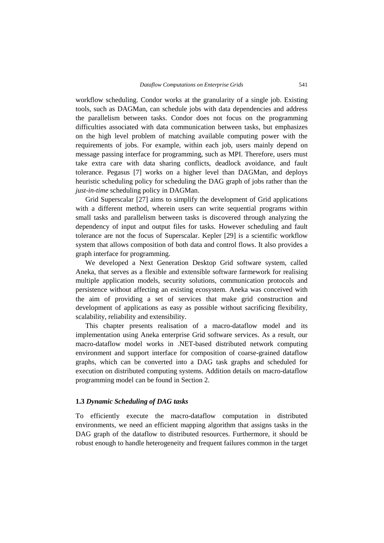workflow scheduling. Condor works at the granularity of a single job. Existing tools, such as DAGMan, can schedule jobs with data dependencies and address the parallelism between tasks. Condor does not focus on the programming difficulties associated with data communication between tasks, but emphasizes on the high level problem of matching available computing power with the requirements of jobs. For example, within each job, users mainly depend on message passing interface for programming, such as MPI. Therefore, users must take extra care with data sharing conflicts, deadlock avoidance, and fault tolerance. Pegasus [\[7\]](#page-25-5) works on a higher level than DAGMan, and deploys heuristic scheduling policy for scheduling the DAG graph of jobs rather than the *just-in-time* scheduling policy in DAGMan.

Grid Superscalar [\[27\]](#page-27-7) aims to simplify the development of Grid applications with a different method, wherein users can write sequential programs within small tasks and parallelism between tasks is discovered through analyzing the dependency of input and output files for tasks. However scheduling and fault tolerance are not the focus of Superscalar. Kepler [\[29\]](#page-27-8) is a scientific workflow system that allows composition of both data and control flows. It also provides a graph interface for programming.

We developed a Next Generation Desktop Grid software system, called Aneka, that serves as a flexible and extensible software farmework for realising multiple application models, security solutions, communication protocols and persistence without affecting an existing ecosystem. Aneka was conceived with the aim of providing a set of services that make grid construction and development of applications as easy as possible without sacrificing flexibility, scalability, reliability and extensibility.

This chapter presents realisation of a macro-dataflow model and its implementation using Aneka enterprise Grid software services. As a result, our macro-dataflow model works in .NET-based distributed network computing environment and support interface for composition of coarse-grained dataflow graphs, which can be converted into a DAG task graphs and scheduled for execution on distributed computing systems. Addition details on macro-dataflow programming model can be found in Section 2.

### **1.3** *Dynamic Scheduling of DAG tasks*

To efficiently execute the macro-dataflow computation in distributed environments, we need an efficient mapping algorithm that assigns tasks in the DAG graph of the dataflow to distributed resources. Furthermore, it should be robust enough to handle heterogeneity and frequent failures common in the target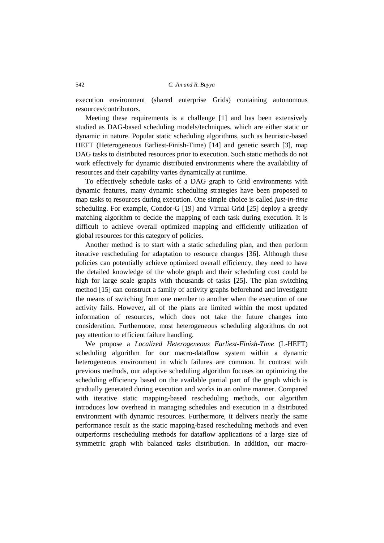execution environment (shared enterprise Grids) containing autonomous resources/contributors.

Meeting these requirements is a challenge [\[1\]](#page-25-6) and has been extensively studied as DAG-based scheduling models/techniques, which are either static or dynamic in nature. Popular static scheduling algorithms, such as heuristic-based HEFT (Heterogeneous Earliest-Finish-Time) [\[14\]](#page-26-12) and genetic search [\[3\]](#page-25-7), map DAG tasks to distributed resources prior to execution. Such static methods do not work effectively for dynamic distributed environments where the availability of resources and their capability varies dynamically at runtime.

To effectively schedule tasks of a DAG graph to Grid environments with dynamic features, many dynamic scheduling strategies have been proposed to map tasks to resources during execution. One simple choice is called *just-in-time* scheduling. For example, Condor-G [\[19\]](#page-26-13) and Virtual Grid [\[25\]](#page-27-9) deploy a greedy matching algorithm to decide the mapping of each task during execution. It is difficult to achieve overall optimized mapping and efficiently utilization of global resources for this category of policies.

Another method is to start with a static scheduling plan, and then perform iterative rescheduling for adaptation to resource changes [\[36\]](#page-27-10). Although these policies can potentially achieve optimized overall efficiency, they need to have the detailed knowledge of the whole graph and their scheduling cost could be high for large scale graphs with thousands of tasks [\[25\]](#page-27-9). The plan switching method [\[15\]](#page-26-14) can construct a family of activity graphs beforehand and investigate the means of switching from one member to another when the execution of one activity fails. However, all of the plans are limited within the most updated information of resources, which does not take the future changes into consideration. Furthermore, most heterogeneous scheduling algorithms do not pay attention to efficient failure handling.

We propose a *Localized Heterogeneous Earliest-Finish-Time* (L-HEFT) scheduling algorithm for our macro-dataflow system within a dynamic heterogeneous environment in which failures are common. In contrast with previous methods, our adaptive scheduling algorithm focuses on optimizing the scheduling efficiency based on the available partial part of the graph which is gradually generated during execution and works in an online manner. Compared with iterative static mapping-based rescheduling methods, our algorithm introduces low overhead in managing schedules and execution in a distributed environment with dynamic resources. Furthermore, it delivers nearly the same performance result as the static mapping-based rescheduling methods and even outperforms rescheduling methods for dataflow applications of a large size of symmetric graph with balanced tasks distribution. In addition, our macro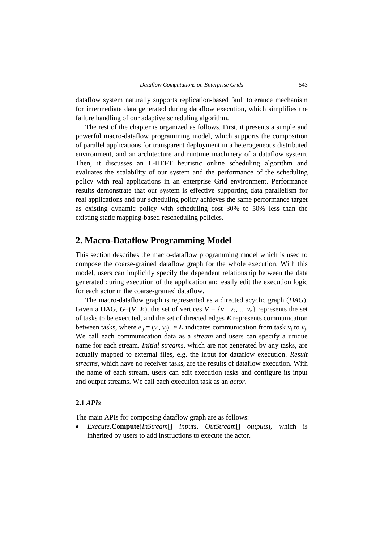dataflow system naturally supports replication-based fault tolerance mechanism for intermediate data generated during dataflow execution, which simplifies the failure handling of our adaptive scheduling algorithm.

The rest of the chapter is organized as follows. First, it presents a simple and powerful macro-dataflow programming model, which supports the composition of parallel applications for transparent deployment in a heterogeneous distributed environment, and an architecture and runtime machinery of a dataflow system. Then, it discusses an L-HEFT heuristic online scheduling algorithm and evaluates the scalability of our system and the performance of the scheduling policy with real applications in an enterprise Grid environment. Performance results demonstrate that our system is effective supporting data parallelism for real applications and our scheduling policy achieves the same performance target as existing dynamic policy with scheduling cost 30% to 50% less than the existing static mapping-based rescheduling policies.

### <span id="page-6-0"></span>**2. Macro-Dataflow Programming Model**

This section describes the macro-dataflow programming model which is used to compose the coarse-grained dataflow graph for the whole execution. With this model, users can implicitly specify the dependent relationship between the data generated during execution of the application and easily edit the execution logic for each actor in the coarse-grained dataflow.

The macro-dataflow graph is represented as a directed acyclic graph (*DAG*). Given a DAG,  $G=(V, E)$ , the set of vertices  $V = \{v_1, v_2, ..., v_n\}$  represents the set of tasks to be executed, and the set of directed edges *E* represents communication between tasks, where  $e_{ij} = (v_i, v_j) \in \mathbf{E}$  indicates communication from task  $v_i$  to  $v_j$ . We call each communication data as a *stream* and users can specify a unique name for each stream. *Initial streams*, which are not generated by any tasks, are actually mapped to external files, e.g. the input for dataflow execution. *Result streams*, which have no receiver tasks, are the results of dataflow execution. With the name of each stream, users can edit execution tasks and configure its input and output streams. We call each execution task as an *actor*.

### **2.1** *APIs*

The main APIs for composing dataflow graph are as follows:

 *Execute*.**Compute**(*InStream*[] *inputs, OutStream*[] *outputs*), which is inherited by users to add instructions to execute the actor.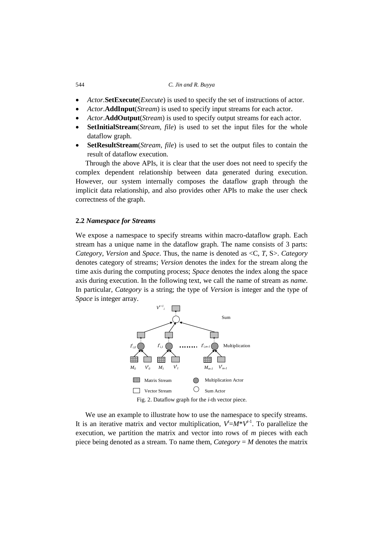- *Actor.***SetExecute**(*Execute*) is used to specify the set of instructions of actor.
- *Actor*.**AddInput**(*Stream*) is used to specify input streams for each actor.
- *Actor*.**AddOutput**(*Stream*) is used to specify output streams for each actor.
- **SetInitialStream**(*Stream*, *file*) is used to set the input files for the whole dataflow graph.
- **SetResultStream**(*Stream*, *file*) is used to set the output files to contain the result of dataflow execution.

Through the above APIs, it is clear that the user does not need to specify the complex dependent relationship between data generated during execution. However, our system internally composes the dataflow graph through the implicit data relationship, and also provides other APIs to make the user check correctness of the graph.

#### **2.2** *Namespace for Streams*

We expose a namespace to specify streams within macro-dataflow graph. Each stream has a unique name in the dataflow graph. The name consists of 3 parts: *Category*, *Version* and *Space*. Thus, the name is denoted as <C, *T*, S>. *Category* denotes category of streams; *Version* denotes the index for the stream along the time axis during the computing process; *Space* denotes the index along the space axis during execution. In the following text, we call the name of stream as *name*. In particular, *Category* is a string; the type of *Version* is integer and the type of *Space* is integer array.



We use an example to illustrate how to use the namespace to specify streams. It is an iterative matrix and vector multiplication,  $V^{\dagger} = M^*V^{\dagger}$ . To parallelize the execution, we partition the matrix and vector into rows of *m* pieces with each piece being denoted as a stream. To name them, *Category* = *M* denotes the matrix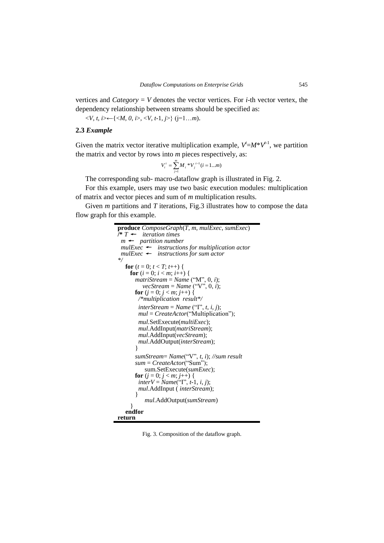vertices and *Category* = *V* denotes the vector vertices. For *i*-th vector vertex, the dependency relationship between streams should be specified as:

 $\langle V, t, i \rangle \leftarrow \{ \langle M, 0, i \rangle, \langle V, t-1, j \rangle \}$  ( $j=1...m$ ).

### **2.3** *Example*

Given the matrix vector iterative multiplication example,  $V^{\dagger} = M^*V^{\dagger}$ , we partition the matrix and vector by rows into *m* pieces respectively, as:

$$
V_i^t = \sum_{j=1}^m M_i * V_j^{t-1} (i = 1...m)
$$

The corresponding sub- macro-dataflow graph is illustrated in Fig. 2.

For this example, users may use two basic execution modules: multiplication of matrix and vector pieces and sum of *m* multiplication results.

Given *m* partitions and *T* iterations, Fig.3 illustrates how to compose the data flow graph for this example.

```
produce ComposeGraph(T, m, mulExec, sumExec)
/* T ← iteration times
  m ← partition number
  mulExec ← instructions for multiplication actor
  mulExec ← instructions for sum actor 
*/
  for (t = 0; t < T; t++) {
    for (i = 0; i < m; i++) {
    matriStream = Name ("M", 0, i);
         vecStream = Name ("V", 0, i);
      for (j = 0; j < m; j++) {
        /*multiplication result*/
         interStream = Name ("I", t, i, j); 
        mul = CreateActor("Multiplication"); 
         mul.SetExecute(multiExec);
         mul.AddInput(matriStream);
        mul.AddInput(vecStream);
        mul.AddOutput(interStream);
        }
       sumStream= Name("V", t, i); //sum result
       sum = CreateActor("Sum");
          sum.SetExecute(sumExec);
      for (j = 0; j < m; j++) {
        interV = Name("I", t-1, i, j); 
        mul.AddInput ( interStream);
        }
          mul.AddOutput(sumStream)
    } 
   endfor
return
```
Fig. 3. Composition of the dataflow graph.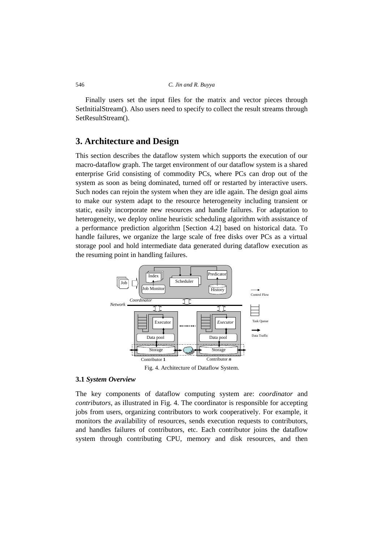<span id="page-9-0"></span>Finally users set the input files for the matrix and vector pieces through SetInitialStream(). Also users need to specify to collect the result streams through SetResultStream().

### **3. Architecture and Design**

This section describes the dataflow system which supports the execution of our macro-dataflow graph. The target environment of our dataflow system is a shared enterprise Grid consisting of commodity PCs, where PCs can drop out of the system as soon as being dominated, turned off or restarted by interactive users. Such nodes can rejoin the system when they are idle again. The design goal aims to make our system adapt to the resource heterogeneity including transient or static, easily incorporate new resources and handle failures. For adaptation to heterogeneity, we deploy online heuristic scheduling algorithm with assistance of a performance prediction algorithm [Section 4.2] based on historical data. To handle failures, we organize the large scale of free disks over PCs as a virtual storage pool and hold intermediate data generated during dataflow execution as the resuming point in handling failures.



Fig. 4. Architecture of Dataflow System.

### **3.1** *System Overview*

The key components of dataflow computing system are: *coordinator* and *contributors*, as illustrated in Fig. 4. The coordinator is responsible for accepting jobs from users, organizing contributors to work cooperatively. For example, it monitors the availability of resources, sends execution requests to contributors, and handles failures of contributors, etc. Each contributor joins the dataflow system through contributing CPU, memory and disk resources, and then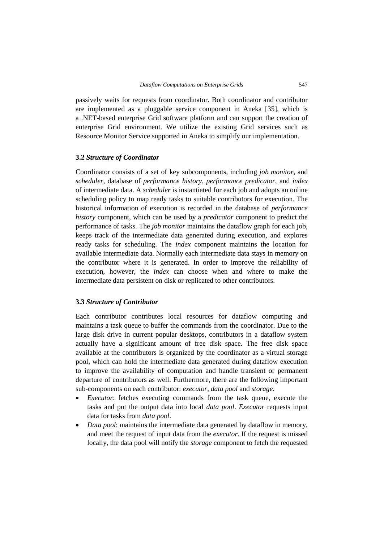passively waits for requests from coordinator. Both coordinator and contributor are implemented as a pluggable service component in Aneka [\[35\]](#page-27-11), which is a .NET-based enterprise Grid software platform and can support the creation of enterprise Grid environment. We utilize the existing Grid services such as Resource Monitor Service supported in Aneka to simplify our implementation.

### **3.2** *Structure of Coordinator*

Coordinator consists of a set of key subcomponents, including *job monitor*, and *scheduler*, database of *performance history*, *performance predicator*, and *index*  of intermediate data. A *scheduler* is instantiated for each job and adopts an online scheduling policy to map ready tasks to suitable contributors for execution. The historical information of execution is recorded in the database of *performance history* component, which can be used by a *predicator* component to predict the performance of tasks. The *job monitor* maintains the dataflow graph for each job, keeps track of the intermediate data generated during execution, and explores ready tasks for scheduling. The *index* component maintains the location for available intermediate data. Normally each intermediate data stays in memory on the contributor where it is generated. In order to improve the reliability of execution, however, the *index* can choose when and where to make the intermediate data persistent on disk or replicated to other contributors.

#### **3.3** *Structure of Contributor*

Each contributor contributes local resources for dataflow computing and maintains a task queue to buffer the commands from the coordinator. Due to the large disk drive in current popular desktops, contributors in a dataflow system actually have a significant amount of free disk space. The free disk space available at the contributors is organized by the coordinator as a virtual storage pool, which can hold the intermediate data generated during dataflow execution to improve the availability of computation and handle transient or permanent departure of contributors as well. Furthermore, there are the following important sub-components on each contributor: *executor*, *data pool* and *storage*.

- *Executor*: fetches executing commands from the task queue, execute the tasks and put the output data into local *data pool*. *Executor* requests input data for tasks from *data pool*.
- *Data pool*: maintains the intermediate data generated by dataflow in memory, and meet the request of input data from the *executor*. If the request is missed locally, the data pool will notify the *storage* component to fetch the requested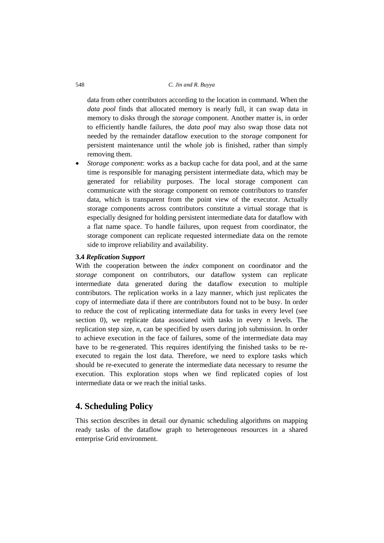data from other contributors according to the location in command. When the *data pool* finds that allocated memory is nearly full, it can swap data in memory to disks through the *storage* component. Another matter is, in order to efficiently handle failures, the *data pool* may also swap those data not needed by the remainder dataflow execution to the *storage* component for persistent maintenance until the whole job is finished, rather than simply removing them.

 *Storage component*: works as a backup cache for data pool, and at the same time is responsible for managing persistent intermediate data, which may be generated for reliability purposes. The local storage component can communicate with the storage component on remote contributors to transfer data, which is transparent from the point view of the executor. Actually storage components across contributors constitute a virtual storage that is especially designed for holding persistent intermediate data for dataflow with a flat name space. To handle failures, upon request from coordinator, the storage component can replicate requested intermediate data on the remote side to improve reliability and availability.

### **3.4** *Replication Support*

With the cooperation between the *index* component on coordinator and the *storage* component on contributors, our dataflow system can replicate intermediate data generated during the dataflow execution to multiple contributors. The replication works in a lazy manner, which just replicates the copy of intermediate data if there are contributors found not to be busy. In order to reduce the cost of replicating intermediate data for tasks in every level (see section [0\)](#page-13-0), we replicate data associated with tasks in every *n* levels. The replication step size, *n*, can be specified by users during job submission. In order to achieve execution in the face of failures, some of the intermediate data may have to be re-generated. This requires identifying the finished tasks to be reexecuted to regain the lost data. Therefore, we need to explore tasks which should be re-executed to generate the intermediate data necessary to resume the execution. This exploration stops when we find replicated copies of lost intermediate data or we reach the initial tasks.

### **4. Scheduling Policy**

This section describes in detail our dynamic scheduling algorithms on mapping ready tasks of the dataflow graph to heterogeneous resources in a shared enterprise Grid environment.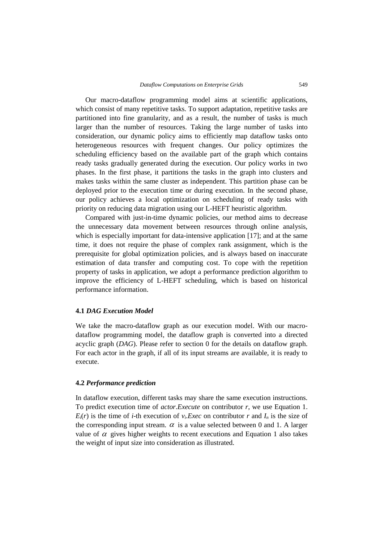Our macro-dataflow programming model aims at scientific applications, which consist of many repetitive tasks. To support adaptation, repetitive tasks are partitioned into fine granularity, and as a result, the number of tasks is much larger than the number of resources. Taking the large number of tasks into consideration, our dynamic policy aims to efficiently map dataflow tasks onto heterogeneous resources with frequent changes. Our policy optimizes the scheduling efficiency based on the available part of the graph which contains ready tasks gradually generated during the execution. Our policy works in two phases. In the first phase, it partitions the tasks in the graph into clusters and makes tasks within the same cluster as independent. This partition phase can be deployed prior to the execution time or during execution. In the second phase, our policy achieves a local optimization on scheduling of ready tasks with priority on reducing data migration using our L-HEFT heuristic algorithm.

Compared with just-in-time dynamic policies, our method aims to decrease the unnecessary data movement between resources through online analysis, which is especially important for data-intensive application [\[17\]](#page-26-15); and at the same time, it does not require the phase of complex rank assignment, which is the prerequisite for global optimization policies, and is always based on inaccurate estimation of data transfer and computing cost. To cope with the repetition property of tasks in application, we adopt a performance prediction algorithm to improve the efficiency of L-HEFT scheduling, which is based on historical performance information.

#### **4.1** *DAG Execution Model*

We take the macro-dataflow graph as our execution model. With our macrodataflow programming model, the dataflow graph is converted into a directed acyclic graph (*DAG*). Please refer to section [0](#page-6-0) for the details on dataflow graph. For each actor in the graph, if all of its input streams are available, it is ready to execute.

#### <span id="page-12-0"></span>**4.2** *Performance prediction*

In dataflow execution, different tasks may share the same execution instructions. To predict execution time of *actor*.*Execute* on contributor *r*, we use Equation 1.  $E_i(r)$  is the time of *i*-th execution of  $v_i$ . *Exec* on contributor *r* and  $I_n$  is the size of the corresponding input stream.  $\alpha$  is a value selected between 0 and 1. A larger value of  $\alpha$  gives higher weights to recent executions and Equation 1 also takes the weight of input size into consideration as illustrated.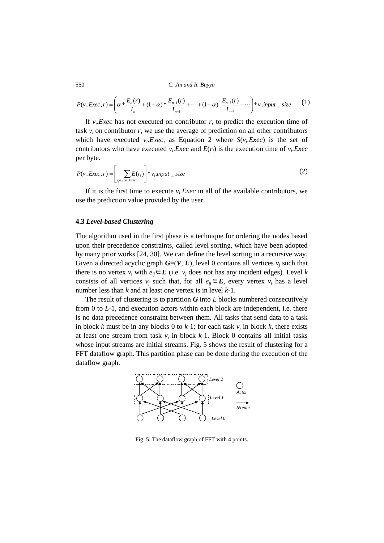$$
P(v_i.Exec, r) = \left(\alpha * \frac{E_n(r)}{I_n} + (1 - \alpha) * \frac{E_{n-1}(r)}{I_{n-1}} + \dots + (1 - \alpha)^i \frac{E_{n-i}(r)}{I_{n-i}} + \dots \right) * v_i \text{ input } \text{ size } (1)
$$

If  $v_i$ . *Exec* has not executed on contributor  $r$ , to predict the execution time of task  $v_i$  on contributor  $r$ , we use the average of prediction on all other contributors which have executed  $v_i$ . *Exec*, as Equation 2 where  $S(v_i)$  *Exec*) is the set of contributors who have executed  $v_i$ . *Exec* and  $E(r_i)$  is the execution time of  $v_i$ . *Exec* per byte.

$$
P(v_i.Exec, r) = \left[ \sum_{r_i \in S(v_i.Exec)} E(r_i) \right] * v_i. input\_size
$$
 (2)

If it is the first time to execute  $v_i$ . *Exec* in all of the available contributors, we use the prediction value provided by the user.

### <span id="page-13-0"></span>**4.3** *Level-based Clustering*

The algorithm used in the first phase is a technique for ordering the nodes based upon their precedence constraints, called level sorting, which have been adopted by many prior works [\[24,](#page-26-16) [30\]](#page-27-6). We can define the level sorting in a recursive way. Given a directed acyclic graph  $G=(V, E)$ , level 0 contains all vertices  $v_i$  such that there is no vertex  $v_i$  with  $e_{ii} \in E$  (i.e.  $v_i$  does not has any incident edges). Level *k* consists of all vertices  $v_i$  such that, for all  $e_{ii} \in E$ , every vertex  $v_i$  has a level number less than *k* and at least one vertex is in level *k*-1.

The result of clustering is to partition  $G$  into  $L$  blocks numbered consecutively from 0 to *L*-1, and execution actors within each block are independent, i.e. there is no data precedence constraint between them. All tasks that send data to a task in block *k* must be in any blocks 0 to *k*-1; for each task  $v_j$  in block *k*, there exists at least one stream from task  $v_i$  in block  $k-1$ . Block 0 contains all initial tasks whose input streams are initial streams. Fig. 5 shows the result of clustering for a FFT dataflow graph. This partition phase can be done during the execution of the dataflow graph.



Fig. 5. The dataflow graph of FFT with 4 points.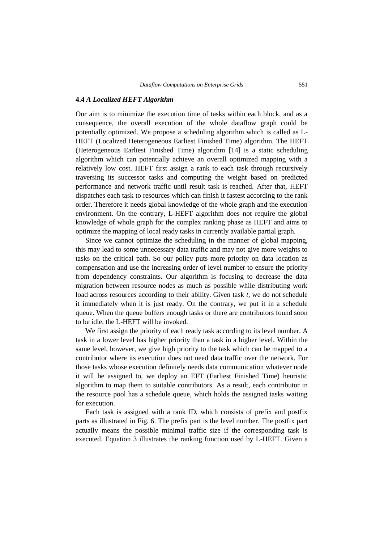#### **4.4** *A Localized HEFT Algorithm*

Our aim is to minimize the execution time of tasks within each block, and as a consequence, the overall execution of the whole dataflow graph could be potentially optimized. We propose a scheduling algorithm which is called as L-HEFT (Localized Heterogeneous Earliest Finished Time) algorithm. The HEFT (Heterogeneous Earliest Finished Time) algorithm [\[14\]](#page-26-12) is a static scheduling algorithm which can potentially achieve an overall optimized mapping with a relatively low cost. HEFT first assign a rank to each task through recursively traversing its successor tasks and computing the weight based on predicted performance and network traffic until result task is reached. After that, HEFT dispatches each task to resources which can finish it fastest according to the rank order. Therefore it needs global knowledge of the whole graph and the execution environment. On the contrary, L-HEFT algorithm does not require the global knowledge of whole graph for the complex ranking phase as HEFT and aims to optimize the mapping of local ready tasks in currently available partial graph.

Since we cannot optimize the scheduling in the manner of global mapping, this may lead to some unnecessary data traffic and may not give more weights to tasks on the critical path. So our policy puts more priority on data location as compensation and use the increasing order of level number to ensure the priority from dependency constraints. Our algorithm is focusing to decrease the data migration between resource nodes as much as possible while distributing work load across resources according to their ability. Given task *t*, we do not schedule it immediately when it is just ready. On the contrary, we put it in a schedule queue. When the queue buffers enough tasks or there are contributors found soon to be idle, the L-HEFT will be invoked.

We first assign the priority of each ready task according to its level number. A task in a lower level has higher priority than a task in a higher level. Within the same level, however, we give high priority to the task which can be mapped to a contributor where its execution does not need data traffic over the network. For those tasks whose execution definitely needs data communication whatever node it will be assigned to, we deploy an EFT (Earliest Finished Time) heuristic algorithm to map them to suitable contributors. As a result, each contributor in the resource pool has a schedule queue, which holds the assigned tasks waiting for execution.

Each task is assigned with a rank ID, which consists of prefix and postfix parts as illustrated in Fig. 6. The prefix part is the level number. The postfix part actually means the possible minimal traffic size if the corresponding task is executed. Equation 3 illustrates the ranking function used by L-HEFT. Given a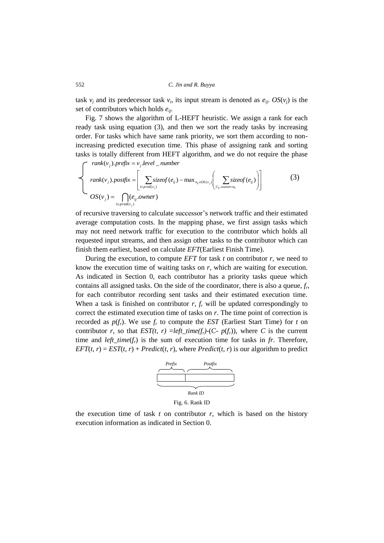task  $v_j$  and its predecessor task  $v_i$ , its input stream is denoted as  $e_{ij}$ .  $OS(v_j)$  is the set of contributors which holds *eij*.

Fig. 7 shows the algorithm of L-HEFT heuristic. We assign a rank for each ready task using equation (3), and then we sort the ready tasks by increasing order. For tasks which have same rank priority, we sort them according to nonincreasing predicted execution time. This phase of assigning rank and sorting tasks is totally different from HEFT algorithm, and we do not require the phase

 $rank(v_j)$ .  $prefix = v_j$ .  $level$  \_  $number$ 

$$
rank(v_j).postfix = \left[\sum_{i \in pred(v_j)} sizeof(e_{ij}) - max_{n_k \in OS(v_j)} \left(\sum_{c_{ij} \text{ over } n_k} sizeof(e_{ij})\right)\right]
$$
(3)  

$$
OS(v_j) = \bigcap_{i \in pred(v_j)} (e_{ij}.ower)
$$

of recursive traversing to calculate successor's network traffic and their estimated average computation costs. In the mapping phase, we first assign tasks which may not need network traffic for execution to the contributor which holds all requested input streams, and then assign other tasks to the contributor which can finish them earliest, based on calculate *EFT*(Earliest Finish Time).

During the execution, to compute *EFT* for task  $t$  on contributor  $r$ , we need to know the execution time of waiting tasks on *r*, which are waiting for execution. As indicated in Section [0,](#page-9-0) each contributor has a priority tasks queue which contains all assigned tasks. On the side of the coordinator, there is also a queue, *f<sup>r</sup>* , for each contributor recording sent tasks and their estimated execution time. When a task is finished on contributor  $r$ ,  $f<sub>r</sub>$  will be updated correspondingly to correct the estimated execution time of tasks on *r*. The time point of correction is recorded as  $p(f_r)$ . We use  $f_r$  to compute the *EST* (Earliest Start Time) for *t* on contributor *r*, so that  $EST(t, r) = left\_time(f_r) - (C - p(f_r))$ , where *C* is the current time and *left\_time*(*fr*) is the sum of execution time for tasks in *fr*. Therefore,  $EFT(t, r) = EST(t, r) + Predict(t, r)$ , where *Predict*(*t*, *r*) is our algorithm to predict



Fig. 6. Rank ID

the execution time of task  $t$  on contributor  $r$ , which is based on the history execution information as indicated in Sectio[n 0.](#page-12-0)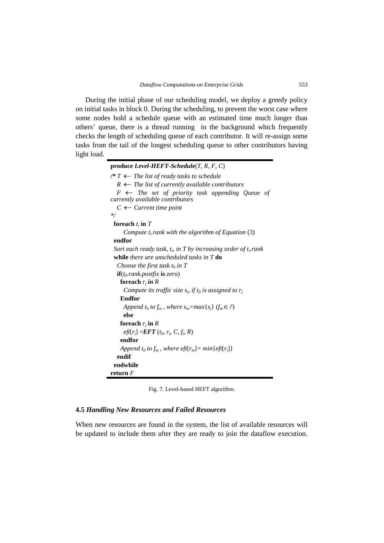During the initial phase of our scheduling model, we deploy a greedy policy on initial tasks in block 0. During the scheduling, to prevent the worst case where some nodes hold a schedule queue with an estimated time much longer than others' queue, there is a thread running in the background which frequently checks the length of scheduling queue of each contributor. It will re-assign some tasks from the tail of the longest scheduling queue to other contributors having light load.

| produce Level-HEFT-Schedule(T, R, F, C)                                                        |
|------------------------------------------------------------------------------------------------|
| /* $T$ ← The list of ready tasks to schedule                                                   |
| $R \leftarrow$ The list of currently available contributors                                    |
| $F \leftarrow$ The set of priority task appending Queue of<br>currently available contributors |
| $C \leftarrow$ Current time point                                                              |
| $\ast/$                                                                                        |
| foreach $t_i$ in $T$                                                                           |
| Compute $t_i$ rank with the algorithm of Equation (3)                                          |
| endfor                                                                                         |
| Sort each ready task, $t_i$ , in T by increasing order of $t_i$ rank                           |
| while there are unscheduled tasks in $T$ do                                                    |
| Choose the first task $t_0$ in T                                                               |
| $\mathbf{if}(t_0, rank, postfix \mathbf{is} zero)$                                             |
| foreach $r_i$ in R                                                                             |
| Compute its traffic size $s_i$ , if $t_0$ is assigned to $r_i$                                 |
| <b>Endfor</b>                                                                                  |
| Append $t_0$ to $f_m$ , where $s_m = max\{s_i\}$ ( $f_m \in F$ )                               |
| else                                                                                           |
| foreach $r_i$ in $R$                                                                           |
| $eff[r_i] = EFT(t_0, r_i, C, f_i, R)$                                                          |
| endfor                                                                                         |
| Append t <sub>0</sub> to $f_m$ , where eft[ $r_m$ ] = min{eft[ $r_i$ ]}                        |
| endif                                                                                          |
| endwhile                                                                                       |
| return $F$                                                                                     |

Fig. 7. Level-based HEFT algorithm.

### **4.5** *Handling New Resources and Failed Resources*

When new resources are found in the system, the list of available resources will be updated to include them after they are ready to join the dataflow execution.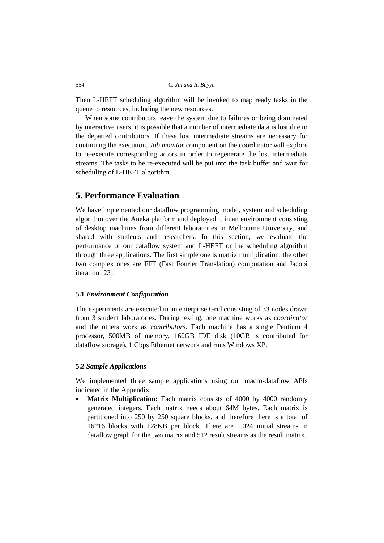Then L-HEFT scheduling algorithm will be invoked to map ready tasks in the queue to resources, including the new resources.

When some contributors leave the system due to failures or being dominated by interactive users, it is possible that a number of intermediate data is lost due to the departed contributors. If these lost intermediate streams are necessary for continuing the execution, *Job monitor* component on the coordinator will explore to re-execute corresponding actors in order to regenerate the lost intermediate streams. The tasks to be re-executed will be put into the task buffer and wait for scheduling of L-HEFT algorithm.

## **5. Performance Evaluation**

We have implemented our dataflow programming model, system and scheduling algorithm over the Aneka platform and deployed it in an environment consisting of desktop machines from different laboratories in Melbourne University, and shared with students and researchers. In this section, we evaluate the performance of our dataflow system and L-HEFT online scheduling algorithm through three applications. The first simple one is matrix multiplication; the other two complex ones are FFT (Fast Fourier Translation) computation and Jacobi iteration [\[23\]](#page-26-17).

### **5.1** *Environment Configuration*

The experiments are executed in an enterprise Grid consisting of 33 nodes drawn from 3 student laboratories. During testing, one machine works as *coordinator* and the others work as *contributors*. Each machine has a single Pentium 4 processor, 500MB of memory, 160GB IDE disk (10GB is contributed for dataflow storage), 1 Gbps Ethernet network and runs Windows XP.

### **5.2** *Sample Applications*

We implemented three sample applications using our macro-dataflow APIs indicated in the Appendix.

 **Matrix Multiplication:** Each matrix consists of 4000 by 4000 randomly generated integers. Each matrix needs about 64M bytes. Each matrix is partitioned into 250 by 250 square blocks, and therefore there is a total of 16\*16 blocks with 128KB per block. There are 1,024 initial streams in dataflow graph for the two matrix and 512 result streams as the result matrix.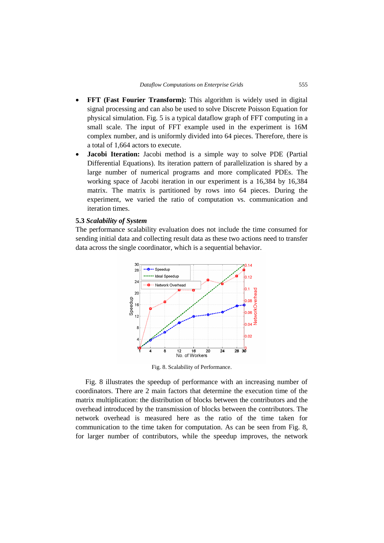- **FFT (Fast Fourier Transform):** This algorithm is widely used in digital signal processing and can also be used to solve Discrete Poisson Equation for physical simulation. Fig. 5 is a typical dataflow graph of FFT computing in a small scale. The input of FFT example used in the experiment is 16M complex number, and is uniformly divided into 64 pieces. Therefore, there is a total of 1,664 actors to execute.
- **Jacobi Iteration:** Jacobi method is a simple way to solve PDE (Partial Differential Equations). Its iteration pattern of parallelization is shared by a large number of numerical programs and more complicated PDEs. The working space of Jacobi iteration in our experiment is a 16,384 by 16,384 matrix. The matrix is partitioned by rows into 64 pieces. During the experiment, we varied the ratio of computation vs. communication and iteration times.

### **5.3** *Scalability of System*

The performance scalability evaluation does not include the time consumed for sending initial data and collecting result data as these two actions need to transfer data across the single coordinator, which is a sequential behavior.



Fig. 8. Scalability of Performance.

Fig. 8 illustrates the speedup of performance with an increasing number of coordinators. There are 2 main factors that determine the execution time of the matrix multiplication: the distribution of blocks between the contributors and the overhead introduced by the transmission of blocks between the contributors. The network overhead is measured here as the ratio of the time taken for communication to the time taken for computation. As can be seen from Fig. 8, for larger number of contributors, while the speedup improves, the network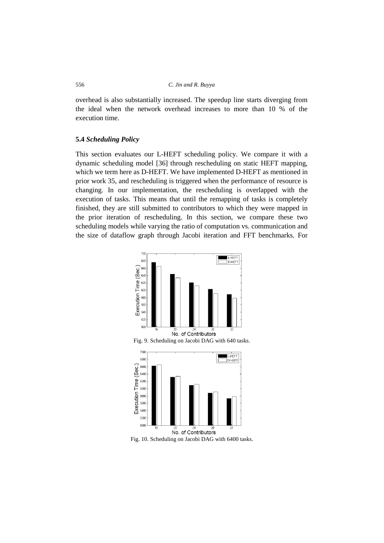overhead is also substantially increased. The speedup line starts diverging from the ideal when the network overhead increases to more than 10 % of the execution time.

### **5.4** *Scheduling Policy*

This section evaluates our L-HEFT scheduling policy. We compare it with a dynamic scheduling model [\[36\]](#page-27-10) through rescheduling on static HEFT mapping, which we term here as D-HEFT. We have implemented D-HEFT as mentioned in prior work [35,](#page-27-12) and rescheduling is triggered when the performance of resource is changing. In our implementation, the rescheduling is overlapped with the execution of tasks. This means that until the remapping of tasks is completely finished, they are still submitted to contributors to which they were mapped in the prior iteration of rescheduling. In this section, we compare these two scheduling models while varying the ratio of computation vs. communication and the size of dataflow graph through Jacobi iteration and FFT benchmarks. For





5000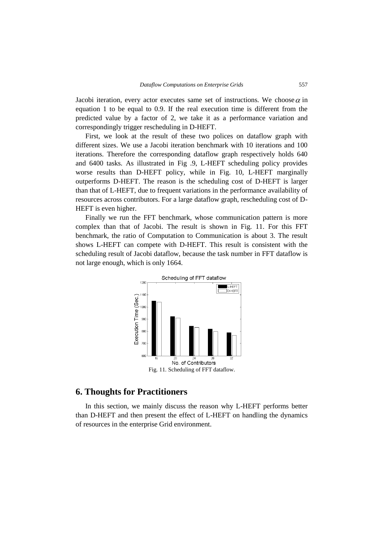Jacobi iteration, every actor executes same set of instructions. We choose  $\alpha$  in equation 1 to be equal to 0.9. If the real execution time is different from the predicted value by a factor of 2, we take it as a performance variation and correspondingly trigger rescheduling in D-HEFT.

First, we look at the result of these two polices on dataflow graph with different sizes. We use a Jacobi iteration benchmark with 10 iterations and 100 iterations. Therefore the corresponding dataflow graph respectively holds 640 and 6400 tasks. As illustrated in Fig .9, L-HEFT scheduling policy provides worse results than D-HEFT policy, while in Fig. 10, L-HEFT marginally outperforms D-HEFT. The reason is the scheduling cost of D-HEFT is larger than that of L-HEFT, due to frequent variations in the performance availability of resources across contributors. For a large dataflow graph, rescheduling cost of D-HEFT is even higher.

Finally we run the FFT benchmark, whose communication pattern is more complex than that of Jacobi. The result is shown in Fig. 11. For this FFT benchmark, the ratio of Computation to Communication is about 3. The result shows L-HEFT can compete with D-HEFT. This result is consistent with the scheduling result of Jacobi dataflow, because the task number in FFT dataflow is not large enough, which is only 1664.



### **6. Thoughts for Practitioners**

In this section, we mainly discuss the reason why L-HEFT performs better than D-HEFT and then present the effect of L-HEFT on handling the dynamics of resources in the enterprise Grid environment.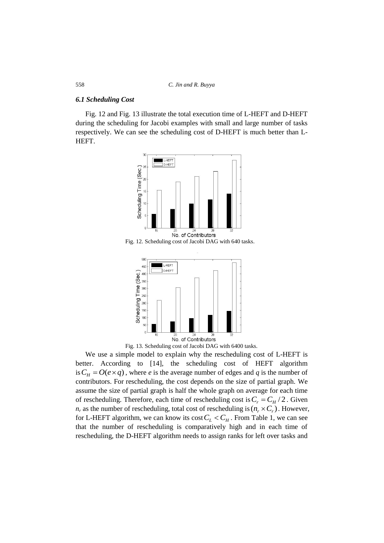#### *6.1 Scheduling Cost*

Fig. 12 and Fig. 13 illustrate the total execution time of L-HEFT and D-HEFT during the scheduling for Jacobi examples with small and large number of tasks respectively. We can see the scheduling cost of D-HEFT is much better than L-HEFT.



Fig. 12. Scheduling cost of Jacobi DAG with 640 tasks.



Fig. 13. Scheduling cost of Jacobi DAG with 6400 tasks.

We use a simple model to explain why the rescheduling cost of L-HEFT is better. According to [\[14\]](#page-26-12), the scheduling cost of HEFT algorithm is  $C_H = O(e \times q)$ , where *e* is the average number of edges and *q* is the number of contributors. For rescheduling, the cost depends on the size of partial graph. We assume the size of partial graph is half the whole graph on average for each time of rescheduling. Therefore, each time of rescheduling cost is  $C_r = C_H / 2$ . Given  $n_r$  as the number of rescheduling, total cost of rescheduling is  $(n_r \times C_r)$ . However, for L-HEFT algorithm, we can know its  $\cos(C_L < C_H)$ . From Table 1, we can see that the number of rescheduling is comparatively high and in each time of rescheduling, the D-HEFT algorithm needs to assign ranks for left over tasks and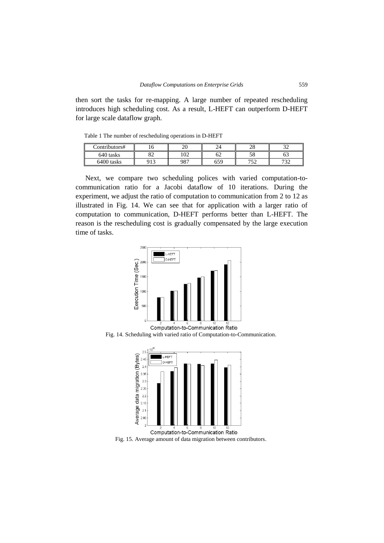then sort the tasks for re-mapping. A large number of repeated rescheduling introduces high scheduling cost. As a result, L-HEFT can outperform D-HEFT for large scale dataflow graph.

Table 1 The number of rescheduling operations in D-HEFT

| Contributors# |                | n c<br>∠∪ |     | ററ<br>∠ບ | $\sim$<br>ັ |
|---------------|----------------|-----------|-----|----------|-------------|
| 640 tasks     | $\Omega$<br>o∠ | 102       | OΖ  |          | ნპ          |
| 6400 tasks    | 012            | 987       | 659 | 750      | 722<br>ے ب  |

Next, we compare two scheduling polices with varied computation-tocommunication ratio for a Jacobi dataflow of 10 iterations. During the experiment, we adjust the ratio of computation to communication from 2 to 12 as illustrated in Fig. 14. We can see that for application with a larger ratio of computation to communication, D-HEFT performs better than L-HEFT. The reason is the rescheduling cost is gradually compensated by the large execution time of tasks.



Computation-to-Communication Ratio Fig. 14. Scheduling with varied ratio of Computation-to-Communication.



Computation-to-Communication Ratio Fig. 15. Average amount of data migration between contributors.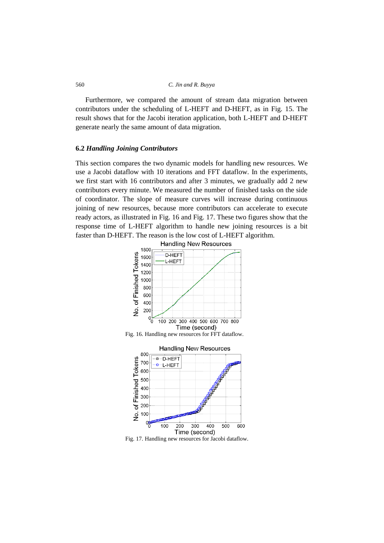Furthermore, we compared the amount of stream data migration between contributors under the scheduling of L-HEFT and D-HEFT, as in Fig. 15. The result shows that for the Jacobi iteration application, both L-HEFT and D-HEFT generate nearly the same amount of data migration.

### **6.2** *Handling Joining Contributors*

This section compares the two dynamic models for handling new resources. We use a Jacobi dataflow with 10 iterations and FFT dataflow. In the experiments, we first start with 16 contributors and after 3 minutes, we gradually add 2 new contributors every minute. We measured the number of finished tasks on the side of coordinator. The slope of measure curves will increase during continuous joining of new resources, because more contributors can accelerate to execute ready actors, as illustrated in Fig. 16 and Fig. 17. These two figures show that the response time of L-HEFT algorithm to handle new joining resources is a bit faster than D-HEFT. The reason is the low cost of L-HEFT algorithm.







Fig. 17. Handling new resources for Jacobi dataflow.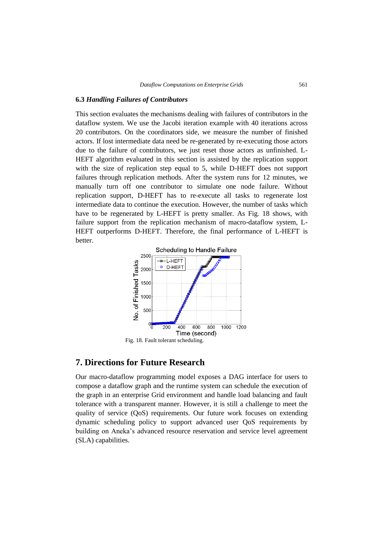### **6.3** *Handling Failures of Contributors*

This section evaluates the mechanisms dealing with failures of contributors in the dataflow system. We use the Jacobi iteration example with 40 iterations across 20 contributors. On the coordinators side, we measure the number of finished actors. If lost intermediate data need be re-generated by re-executing those actors due to the failure of contributors, we just reset those actors as unfinished. L-HEFT algorithm evaluated in this section is assisted by the replication support with the size of replication step equal to 5, while D-HEFT does not support failures through replication methods. After the system runs for 12 minutes, we manually turn off one contributor to simulate one node failure. Without replication support, D-HEFT has to re-execute all tasks to regenerate lost intermediate data to continue the execution. However, the number of tasks which have to be regenerated by L-HEFT is pretty smaller. As Fig. 18 shows, with failure support from the replication mechanism of macro-dataflow system, L-HEFT outperforms D-HEFT. Therefore, the final performance of L-HEFT is better.



# **7. Directions for Future Research**

Our macro-dataflow programming model exposes a DAG interface for users to compose a dataflow graph and the runtime system can schedule the execution of the graph in an enterprise Grid environment and handle load balancing and fault tolerance with a transparent manner. However, it is still a challenge to meet the quality of service (QoS) requirements. Our future work focuses on extending dynamic scheduling policy to support advanced user QoS requirements by building on Aneka's advanced resource reservation and service level agreement (SLA) capabilities.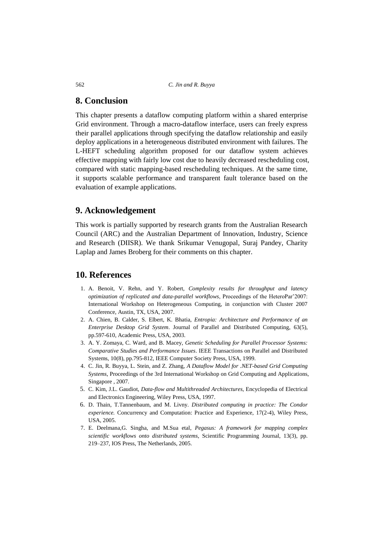### **8. Conclusion**

This chapter presents a dataflow computing platform within a shared enterprise Grid environment. Through a macro-dataflow interface, users can freely express their parallel applications through specifying the dataflow relationship and easily deploy applications in a heterogeneous distributed environment with failures. The L-HEFT scheduling algorithm proposed for our dataflow system achieves effective mapping with fairly low cost due to heavily decreased rescheduling cost, compared with static mapping-based rescheduling techniques. At the same time, it supports scalable performance and transparent fault tolerance based on the evaluation of example applications.

### **9. Acknowledgement**

This work is partially supported by research grants from the Australian Research Council (ARC) and the Australian Department of Innovation, Industry, Science and Research (DIISR). We thank Srikumar Venugopal, Suraj Pandey, Charity Laplap and James Broberg for their comments on this chapter.

### **10. References**

- <span id="page-25-6"></span>1. A. Benoit, V. Rehn, and Y. Robert, *Complexity results for throughput and latency optimization of replicated and data-parallel workflows*, Proceedings of the HeteroPar'2007: International Workshop on Heterogeneous Computing, in conjunction with Cluster 2007 Conference, Austin, TX, USA, 2007.
- <span id="page-25-4"></span>2. A. Chien, B. Calder, S. Elbert, K. Bhatia, *Entropia: Architecture and Performance of an Enterprise Desktop Grid System*. Journal of Parallel and Distributed Computing, 63(5), pp.597-610, Academic Press, USA, 2003.
- <span id="page-25-7"></span>3. A. Y. Zomaya, C. Ward, and B. Macey, *Genetic Scheduling for Parallel Processor Systems: Comparative Studies and Performance Issues*. IEEE Transactions on Parallel and Distributed Systems, 10(8), pp.795-812, IEEE Computer Society Press, USA, 1999.
- <span id="page-25-1"></span>4. C. Jin, R. Buyya, L. Stein, and Z. Zhang, *A Dataflow Model for .NET-based Grid Computing Systems*, Proceedings of the 3rd International Workshop on Grid Computing and Applications, Singapore , 2007.
- <span id="page-25-2"></span>5. C. Kim, J.L. Gaudiot, *Data-flow and Multithreaded Architectures*, Encyclopedia of Electrical and Electronics Engineering, Wiley Press, USA, 1997.
- <span id="page-25-3"></span>6. D. Thain, T.Tannenbaum, and M. Livny. *Distributed computing in practice: The Condor experience.* Concurrency and Computation: Practice and Experience, 17(2-4), Wiley Press, USA, 2005.
- <span id="page-25-5"></span><span id="page-25-0"></span>7. E. Deelmana,G. Singha, and M.Sua etal, *Pegasus: A framework for mapping complex scientific workflows onto distributed systems*, Scientific Programming Journal, 13(3), pp. 219–237, IOS Press, The Netherlands, 2005.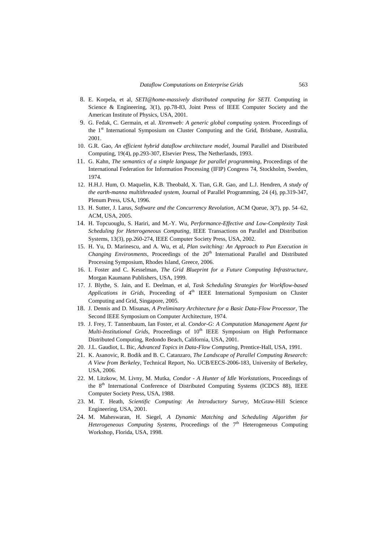- <span id="page-26-0"></span>8. E. Korpela, et al, *SETI@home-massively distributed computing for SETI.* Computing in Science & Engineering, 3(1), pp.78-83, Joint Press of IEEE Computer Society and the [American Institute of Physics,](http://www.aip.org/) USA, 2001.
- <span id="page-26-3"></span>9. G. Fedak, C. Germain, et al. *Xtremweb: A generic global computing system.* Proceedings of the 1<sup>st</sup> International Symposium on Cluster Computing and the Grid, Brisbane, Australia, 2001.
- <span id="page-26-7"></span>10. G.R. Gao, *An efficient hybrid dataflow architecture model*, Journal Parallel and Distributed Computing, 19(4), pp.293-307, Elsevier Press, The Netherlands, 1993.
- <span id="page-26-5"></span>11. G. Kahn, *The semantics of a simple language for parallel programming*, Proceedings of the International Federation for Information Processing (IFIP) Congress 74, Stockholm, Sweden, 1974.
- <span id="page-26-6"></span>12. H.H.J. Hum, O. Maquelin, K.B. Theobald, X. Tian, G.R. Gao, and L.J. Hendren, *A study of the earth-manna multithreaded system*, Journal of Parallel Programming, 24 (4), pp.319-347, Plenum Press, USA, 1996.
- <span id="page-26-10"></span>13. H. Sutter, J. Larus, *Software and the Concurrency Revolution*, ACM Queue, 3(7), pp. 54–62, ACM, USA, 2005.
- <span id="page-26-12"></span>14. H. Topcuouglu, S. Hariri, and M.-Y. Wu, *Performance-Effective and Low-Complexity Task Scheduling for Heterogeneous Computing*, IEEE Transactions on Parallel and Distribution Systems, 13(3), pp.260-274, IEEE Computer Society Press, USA, 2002.
- <span id="page-26-14"></span>15. H. Yu, D. Marinescu, and A. Wu, et al, *Plan switching: An Approach to Pan Execution in Changing Environments*, Proceedings of the 20<sup>th</sup> International Parallel and Distributed Processing Symposium, Rhodes Island, Greece, 2006.
- <span id="page-26-1"></span>16. I. Foster and C. Kesselman, *The Grid Blueprint for a Future Computing Infrastructure*, Morgan Kaumann Publishers, USA, 1999.
- <span id="page-26-15"></span>17. J. Blythe, S. Jain, and E. Deelman, et al, *Task Scheduling Strategies for Workflow-based Applications in Grids*, Proceeding of 4<sup>th</sup> IEEE International Symposium on Cluster Computing and Grid, Singapore, 2005.
- <span id="page-26-4"></span>18. J. Dennis and D. Misunas, *A Preliminary Architecture for a Basic Data-Flow Processor*, The Second IEEE Symposium on Computer Architecture, 1974.
- <span id="page-26-13"></span><span id="page-26-11"></span>19. J. Frey, T. Tannenbaum, Ian Foster, et al. *Condor-G: A Computation Management Agent for Multi-Institutional Grids*, Proceedings of 10<sup>th</sup> IEEE Symposium on High Performance Distributed Computing, Redondo Beach, California, USA, 2001.
- <span id="page-26-8"></span>20. J.L. Gaudiot, L. Bic, *Advanced Topics in Data-Flow Computing*, Prentice-Hall, USA, 1991.
- <span id="page-26-9"></span>21. K. Asanovic, R. Bodik and B. C. Catanzaro, *The Landscape of Parallel Computing Research: A View from Berkeley*, Technical Report, No. UCB/EECS-2006-183, University of Berkeley, USA, 2006.
- <span id="page-26-2"></span>22. M. Litzkow, M. Livny, M. Mutka, *Condor - A Hunter of Idle Workstations*, Proceedings of the 8<sup>th</sup> International Conference of Distributed Computing Systems (ICDCS 88), IEEE Computer Society Press, USA, 1988.
- <span id="page-26-17"></span>23. M. T. Heath, *Scientific Computing: An Introductory Survey*, McGraw-Hill Science Engineering, USA, 2001.
- <span id="page-26-16"></span>24. M. Maheswaran, H. Siegel, *A Dynamic Matching and Scheduling Algorithm for Heterogeneous Computing Systems*, Proceedings of the 7<sup>th</sup> Heterogeneous Computing Workshop, Florida, USA, 1998.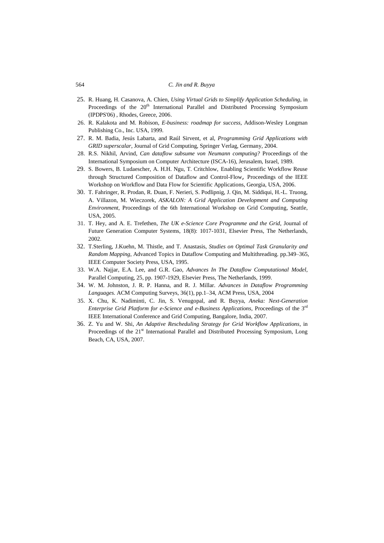- <span id="page-27-9"></span>25. R. Huang, H. Casanova, A. Chien, *Using Virtual Grids to Simplify Application Scheduling*, in Proceedings of the 20<sup>th</sup> International Parallel and Distributed Processing Symposium (IPDPS'06) , Rhodes, Greece, 2006.
- <span id="page-27-1"></span>26. R. Kalakota and M. Robison, *E-business: roadmap for success*, Addison-Wesley Longman Publishing Co., Inc. USA, 1999.
- <span id="page-27-7"></span>27. R. M. Badia, Jesús Labarta, and Raúl Sirvent, et al, *Programming Grid Applications with GRID superscalar*, Journal of Grid Computing, Springer Verlag, Germany, 2004.
- <span id="page-27-5"></span>28. R.S. Nikhil, Arvind, *Can dataflow subsume von Neumann computing?* Proceedings of the International Symposium on Computer Architecture (ISCA-16), Jerusalem, Israel, 1989.
- <span id="page-27-8"></span>29. S. Bowers, B. Ludaescher, A. H.H. Ngu, T. Critchlow, [Enabling Scientific Workflow Reuse](http://daks.ucdavis.edu/~sbowers/Bowers_et_al_SCIFLOW06.pdf)  [through Structured Composition of Dataflow and Control-Flow](http://daks.ucdavis.edu/~sbowers/Bowers_et_al_SCIFLOW06.pdf), Proceedings of the IEEE Workshop on Workflow and Data Flow for Scientific Applications, Georgia, USA, 2006.
- <span id="page-27-6"></span>30. T. Fahringer, R. Prodan, R. Duan, F. Nerieri, S. Podlipnig, J. Qin, M. Siddiqui, H.-L. Truong, A. Villazon, M. Wieczorek, *ASKALON: A Grid Application Development and Computing Environment*, Proceedings of the 6th International Workshop on Grid Computing, Seattle, USA, 2005.
- <span id="page-27-0"></span>31. T. Hey, and A. E. Trefethen, *The UK e-Science Core Programme and the Grid*, Journal of Future Generation Computer Systems, 18(8): 1017-1031, Elsevier Press, The Netherlands, 2002.
- <span id="page-27-4"></span>32. T.Sterling, J.Kuehn, M. Thistle, and T. Anastasis, *Studies on Optimal Task Granularity and Random Mapping*, Advanced Topics in Dataflow Computing and Multithreading. pp.349–365, IEEE Computer Society Press, USA, 1995.
- <span id="page-27-3"></span>33. W.A. Najjar, E.A. Lee, and G.R. Gao, *Advances In The Dataflow Computational Model*, Parallel Computing, 25, pp. 1907-1929, Elsevier Press, The Netherlands, 1999.
- <span id="page-27-2"></span>34. W. M. Johnston, J. R. P. Hanna, and R. J. Millar. *Advances in Dataflow Programming Languages.* ACM Computing Surveys, 36(1), pp.1–34, ACM Press, USA, 2004
- <span id="page-27-11"></span>35. X. Chu, K. Nadiminti, C. Jin, S. Venugopal, and R. Buyya, *Aneka: Next-Generation Enterprise Grid Platform for e-Science and e-Business Applications, Proceedings of the 3<sup>rd</sup>* IEEE International Conference and Grid Computing, Bangalore, India, 2007.
- <span id="page-27-12"></span><span id="page-27-10"></span>36. Z. Yu and W. Shi, *An Adaptive Rescheduling Strategy for Grid Workflow Applications*, in Proceedings of the 21<sup>st</sup> International Parallel and Distributed Processing Symposium, Long Beach, CA, USA, 2007.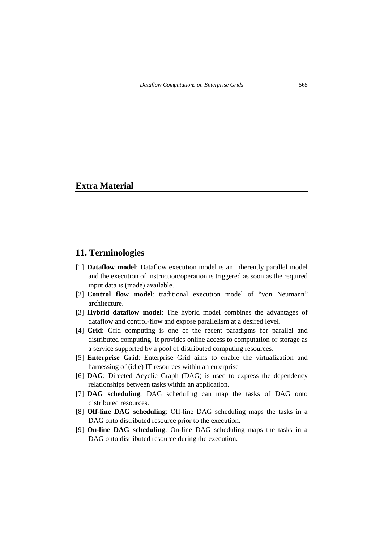### **Extra Material**

### **11. Terminologies**

- [1] **Dataflow model**: Dataflow execution model is an inherently parallel model and the execution of instruction/operation is triggered as soon as the required input data is (made) available.
- [2] **Control flow model**: traditional execution model of "von Neumann" architecture.
- [3] **Hybrid dataflow model**: The hybrid model combines the advantages of dataflow and control-flow and expose parallelism at a desired level.
- [4] **Grid**: Grid computing is one of the recent paradigms for parallel and distributed computing. It provides online access to computation or storage as a service supported by a pool of distributed computing resources.
- [5] **Enterprise Grid**: Enterprise Grid aims to enable the virtualization and harnessing of (idle) IT resources within an enterprise
- [6] **DAG**: Directed Acyclic Graph (DAG) is used to express the dependency relationships between tasks within an application.
- [7] **DAG scheduling**: DAG scheduling can map the tasks of DAG onto distributed resources.
- [8] **Off-line DAG scheduling**: Off-line DAG scheduling maps the tasks in a DAG onto distributed resource prior to the execution.
- [9] **On-line DAG scheduling**: On-line DAG scheduling maps the tasks in a DAG onto distributed resource during the execution.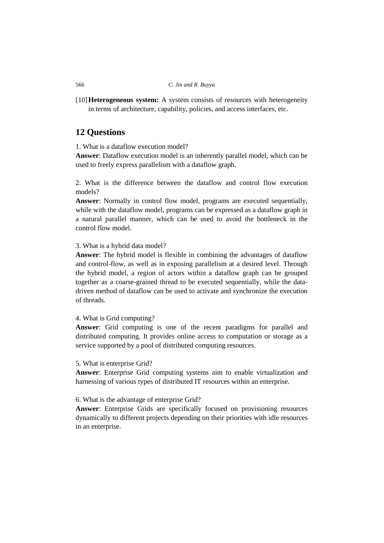[10]**Heterogeneous system:** A system consists of resources with heterogeneity in terms of architecture, capability, policies, and access interfaces, etc.

### **12 Questions**

1. What is a dataflow execution model?

**Answer**: Dataflow execution model is an inherently parallel model, which can be used to freely express parallelism with a dataflow graph.

2. What is the difference between the dataflow and control flow execution models?

**Answer**: Normally in control flow model, programs are executed sequentially, while with the dataflow model, programs can be expressed as a dataflow graph in a natural parallel manner, which can be used to avoid the bottleneck in the control flow model.

### 3. What is a hybrid data model?

**Answer**: The hybrid model is flexible in combining the advantages of dataflow and control-flow, as well as in exposing parallelism at a desired level. Through the hybrid model, a region of actors within a dataflow graph can be grouped together as a coarse-grained thread to be executed sequentially, while the datadriven method of dataflow can be used to activate and synchronize the execution of threads.

### 4. What is Grid computing?

**Answer**: Grid computing is one of the recent paradigms for parallel and distributed computing. It provides online access to computation or storage as a service supported by a pool of distributed computing resources.

### 5. What is enterprise Grid?

**Answer**: Enterprise Grid computing systems aim to enable virtualization and harnessing of various types of distributed IT resources within an enterprise.

### 6. What is the advantage of enterprise Grid?

**Answer**: Enterprise Grids are specifically focused on provisioning resources dynamically to different projects depending on their priorities with idle resources in an enterprise.